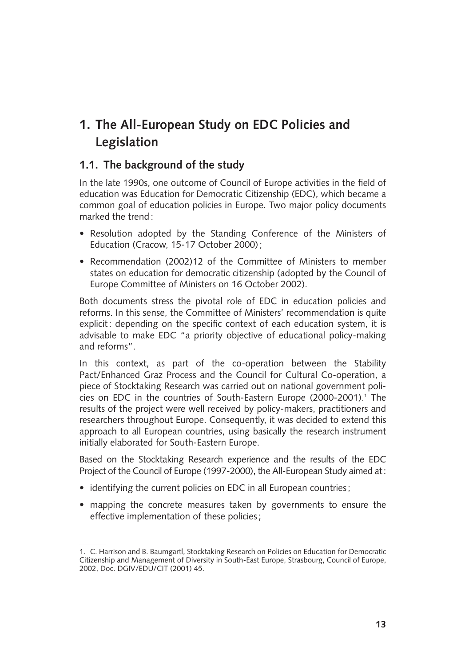## **1. The All-European Study on EDC Policies and Legislation**

## **1.1. The background of the study**

In the late 1990s, one outcome of Council of Europe activities in the field of education was Education for Democratic Citizenship (EDC), which became a common goal of education policies in Europe. Two major policy documents marked the trend :

- Resolution adopted by the Standing Conference of the Ministers of Education (Cracow, 15-17 October 2000) ;
- Recommendation (2002)12 of the Committee of Ministers to member states on education for democratic citizenship (adopted by the Council of Europe Committee of Ministers on 16 October 2002).

Both documents stress the pivotal role of EDC in education policies and reforms. In this sense, the Committee of Ministers' recommendation is quite explicit: depending on the specific context of each education system, it is advisable to make EDC "a priority objective of educational policy-making and reforms".

In this context, as part of the co-operation between the Stability Pact/Enhanced Graz Process and the Council for Cultural Co-operation, a piece of Stocktaking Research was carried out on national government policies on EDC in the countries of South-Eastern Europe (2000-2001).<sup>1</sup> The results of the project were well received by policy-makers, practitioners and researchers throughout Europe. Consequently, it was decided to extend this approach to all European countries, using basically the research instrument initially elaborated for South-Eastern Europe.

Based on the Stocktaking Research experience and the results of the EDC Project of the Council of Europe (1997-2000), the All-European Study aimed at:

- identifying the current policies on EDC in all European countries ;
- mapping the concrete measures taken by governments to ensure the effective implementation of these policies ;

<sup>1.</sup> C. Harrison and B. Baumgartl, Stocktaking Research on Policies on Education for Democratic Citizenship and Management of Diversity in South-East Europe, Strasbourg, Council of Europe, 2002, Doc. DGIV/EDU/CIT (2001) 45.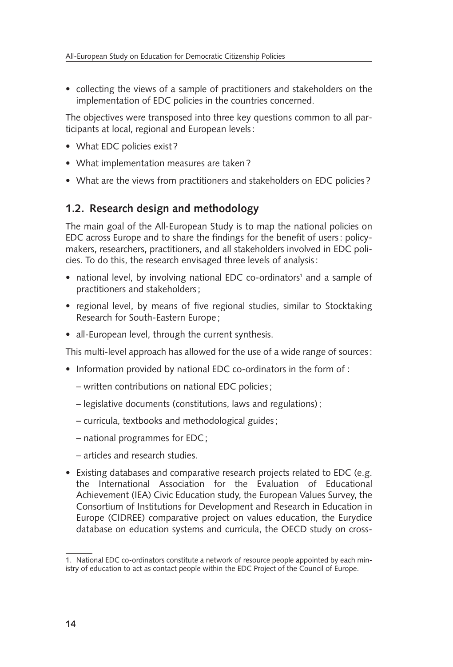• collecting the views of a sample of practitioners and stakeholders on the implementation of EDC policies in the countries concerned.

The objectives were transposed into three key questions common to all participants at local, regional and European levels :

- What EDC policies exist ?
- What implementation measures are taken ?
- What are the views from practitioners and stakeholders on EDC policies?

## **1.2. Research design and methodology**

The main goal of the All-European Study is to map the national policies on EDC across Europe and to share the findings for the benefit of users : policymakers, researchers, practitioners, and all stakeholders involved in EDC policies. To do this, the research envisaged three levels of analysis :

- national level, by involving national EDC co-ordinators<sup>1</sup> and a sample of practitioners and stakeholders ;
- regional level, by means of five regional studies, similar to Stocktaking Research for South-Eastern Europe ;
- all-European level, through the current synthesis.

This multi-level approach has allowed for the use of a wide range of sources :

- Information provided by national EDC co-ordinators in the form of :
	- written contributions on national EDC policies ;
	- legislative documents (constitutions, laws and regulations) ;
	- curricula, textbooks and methodological guides ;
	- national programmes for EDC ;
	- articles and research studies.
- Existing databases and comparative research projects related to EDC (e.g. the International Association for the Evaluation of Educational Achievement (IEA) Civic Education study, the European Values Survey, the Consortium of Institutions for Development and Research in Education in Europe (CIDREE) comparative project on values education, the Eurydice database on education systems and curricula, the OECD study on cross-

<sup>1.</sup> National EDC co-ordinators constitute a network of resource people appointed by each ministry of education to act as contact people within the EDC Project of the Council of Europe.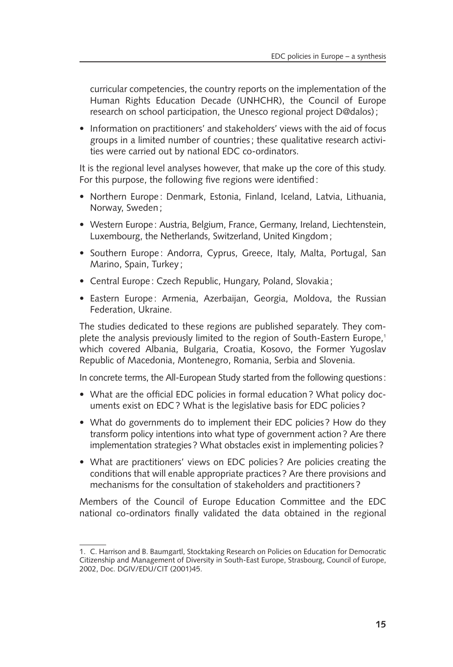curricular competencies, the country reports on the implementation of the Human Rights Education Decade (UNHCHR), the Council of Europe research on school participation, the Unesco regional project D@dalos) ;

• Information on practitioners' and stakeholders' views with the aid of focus groups in a limited number of countries ; these qualitative research activities were carried out by national EDC co-ordinators.

It is the regional level analyses however, that make up the core of this study. For this purpose, the following five regions were identified :

- Northern Europe : Denmark, Estonia, Finland, Iceland, Latvia, Lithuania, Norway, Sweden ;
- Western Europe: Austria, Belgium, France, Germany, Ireland, Liechtenstein, Luxembourg, the Netherlands, Switzerland, United Kingdom;
- Southern Europe: Andorra, Cyprus, Greece, Italy, Malta, Portugal, San Marino, Spain, Turkey ;
- Central Europe : Czech Republic, Hungary, Poland, Slovakia ;
- Eastern Europe: Armenia, Azerbaijan, Georgia, Moldova, the Russian Federation, Ukraine.

The studies dedicated to these regions are published separately. They complete the analysis previously limited to the region of South-Eastern Europe,<sup>1</sup> which covered Albania, Bulgaria, Croatia, Kosovo, the Former Yugoslav Republic of Macedonia, Montenegro, Romania, Serbia and Slovenia.

In concrete terms, the All-European Study started from the following questions:

- What are the official EDC policies in formal education ? What policy documents exist on EDC ? What is the legislative basis for EDC policies ?
- What do governments do to implement their EDC policies? How do they transform policy intentions into what type of government action? Are there implementation strategies? What obstacles exist in implementing policies?
- What are practitioners' views on EDC policies ? Are policies creating the conditions that will enable appropriate practices ? Are there provisions and mechanisms for the consultation of stakeholders and practitioners ?

Members of the Council of Europe Education Committee and the EDC national co-ordinators finally validated the data obtained in the regional

<sup>1.</sup> C. Harrison and B. Baumgartl, Stocktaking Research on Policies on Education for Democratic Citizenship and Management of Diversity in South-East Europe, Strasbourg, Council of Europe, 2002, Doc. DGIV/EDU/CIT (2001)45.